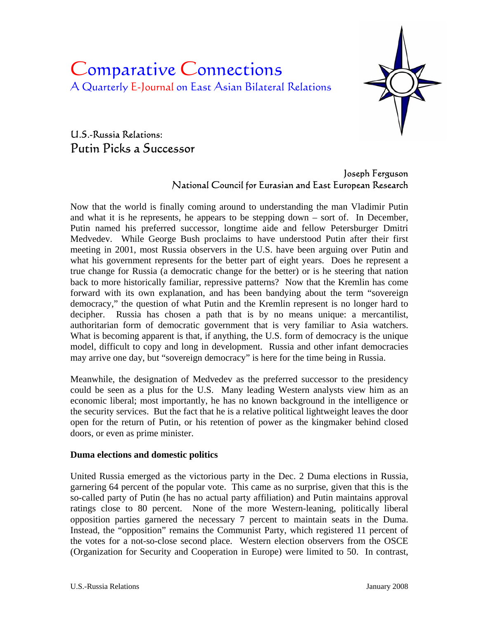# Comparative Connections A Quarterly E-Journal on East Asian Bilateral Relations



# U.S.-Russia Relations: Putin Picks a Successor

## Joseph Ferguson National Council for Eurasian and East European Research

Now that the world is finally coming around to understanding the man Vladimir Putin and what it is he represents, he appears to be stepping down – sort of. In December, Putin named his preferred successor, longtime aide and fellow Petersburger Dmitri Medvedev. While George Bush proclaims to have understood Putin after their first meeting in 2001, most Russia observers in the U.S. have been arguing over Putin and what his government represents for the better part of eight years. Does he represent a true change for Russia (a democratic change for the better) or is he steering that nation back to more historically familiar, repressive patterns? Now that the Kremlin has come forward with its own explanation, and has been bandying about the term "sovereign democracy," the question of what Putin and the Kremlin represent is no longer hard to decipher. Russia has chosen a path that is by no means unique: a mercantilist, authoritarian form of democratic government that is very familiar to Asia watchers. What is becoming apparent is that, if anything, the U.S. form of democracy is the unique model, difficult to copy and long in development. Russia and other infant democracies may arrive one day, but "sovereign democracy" is here for the time being in Russia.

Meanwhile, the designation of Medvedev as the preferred successor to the presidency could be seen as a plus for the U.S. Many leading Western analysts view him as an economic liberal; most importantly, he has no known background in the intelligence or the security services. But the fact that he is a relative political lightweight leaves the door open for the return of Putin, or his retention of power as the kingmaker behind closed doors, or even as prime minister.

## **Duma elections and domestic politics**

United Russia emerged as the victorious party in the Dec. 2 Duma elections in Russia, garnering 64 percent of the popular vote. This came as no surprise, given that this is the so-called party of Putin (he has no actual party affiliation) and Putin maintains approval ratings close to 80 percent. None of the more Western-leaning, politically liberal opposition parties garnered the necessary 7 percent to maintain seats in the Duma. Instead, the "opposition" remains the Communist Party, which registered 11 percent of the votes for a not-so-close second place. Western election observers from the OSCE (Organization for Security and Cooperation in Europe) were limited to 50. In contrast,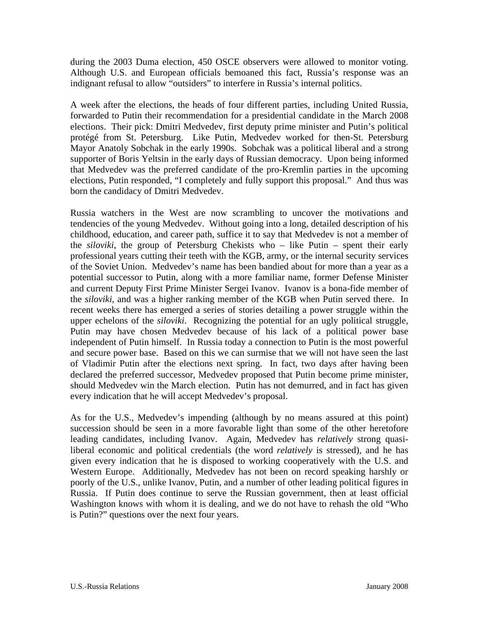during the 2003 Duma election, 450 OSCE observers were allowed to monitor voting. Although U.S. and European officials bemoaned this fact, Russia's response was an indignant refusal to allow "outsiders" to interfere in Russia's internal politics.

A week after the elections, the heads of four different parties, including United Russia, forwarded to Putin their recommendation for a presidential candidate in the March 2008 elections. Their pick: Dmitri Medvedev, first deputy prime minister and Putin's political protégé from St. Petersburg. Like Putin, Medvedev worked for then-St. Petersburg Mayor Anatoly Sobchak in the early 1990s. Sobchak was a political liberal and a strong supporter of Boris Yeltsin in the early days of Russian democracy. Upon being informed that Medvedev was the preferred candidate of the pro-Kremlin parties in the upcoming elections, Putin responded, "I completely and fully support this proposal." And thus was born the candidacy of Dmitri Medvedev.

Russia watchers in the West are now scrambling to uncover the motivations and tendencies of the young Medvedev. Without going into a long, detailed description of his childhood, education, and career path, suffice it to say that Medvedev is not a member of the *siloviki*, the group of Petersburg Chekists who – like Putin – spent their early professional years cutting their teeth with the KGB, army, or the internal security services of the Soviet Union. Medvedev's name has been bandied about for more than a year as a potential successor to Putin, along with a more familiar name, former Defense Minister and current Deputy First Prime Minister Sergei Ivanov. Ivanov is a bona-fide member of the *siloviki*, and was a higher ranking member of the KGB when Putin served there. In recent weeks there has emerged a series of stories detailing a power struggle within the upper echelons of the *siloviki*. Recognizing the potential for an ugly political struggle, Putin may have chosen Medvedev because of his lack of a political power base independent of Putin himself. In Russia today a connection to Putin is the most powerful and secure power base. Based on this we can surmise that we will not have seen the last of Vladimir Putin after the elections next spring. In fact, two days after having been declared the preferred successor, Medvedev proposed that Putin become prime minister, should Medvedev win the March election. Putin has not demurred, and in fact has given every indication that he will accept Medvedev's proposal.

As for the U.S., Medvedev's impending (although by no means assured at this point) succession should be seen in a more favorable light than some of the other heretofore leading candidates, including Ivanov. Again, Medvedev has *relatively* strong quasiliberal economic and political credentials (the word *relatively* is stressed), and he has given every indication that he is disposed to working cooperatively with the U.S. and Western Europe. Additionally, Medvedev has not been on record speaking harshly or poorly of the U.S., unlike Ivanov, Putin, and a number of other leading political figures in Russia. If Putin does continue to serve the Russian government, then at least official Washington knows with whom it is dealing, and we do not have to rehash the old "Who is Putin?" questions over the next four years.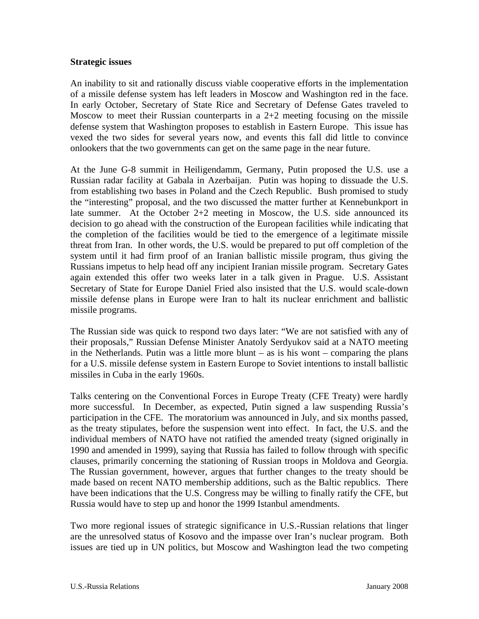#### **Strategic issues**

An inability to sit and rationally discuss viable cooperative efforts in the implementation of a missile defense system has left leaders in Moscow and Washington red in the face. In early October, Secretary of State Rice and Secretary of Defense Gates traveled to Moscow to meet their Russian counterparts in a 2+2 meeting focusing on the missile defense system that Washington proposes to establish in Eastern Europe. This issue has vexed the two sides for several years now, and events this fall did little to convince onlookers that the two governments can get on the same page in the near future.

At the June G-8 summit in Heiligendamm, Germany, Putin proposed the U.S. use a Russian radar facility at Gabala in Azerbaijan. Putin was hoping to dissuade the U.S. from establishing two bases in Poland and the Czech Republic. Bush promised to study the "interesting" proposal, and the two discussed the matter further at Kennebunkport in late summer. At the October 2+2 meeting in Moscow, the U.S. side announced its decision to go ahead with the construction of the European facilities while indicating that the completion of the facilities would be tied to the emergence of a legitimate missile threat from Iran. In other words, the U.S. would be prepared to put off completion of the system until it had firm proof of an Iranian ballistic missile program, thus giving the Russians impetus to help head off any incipient Iranian missile program. Secretary Gates again extended this offer two weeks later in a talk given in Prague. U.S. Assistant Secretary of State for Europe Daniel Fried also insisted that the U.S. would scale-down missile defense plans in Europe were Iran to halt its nuclear enrichment and ballistic missile programs.

The Russian side was quick to respond two days later: "We are not satisfied with any of their proposals," Russian Defense Minister Anatoly Serdyukov said at a NATO meeting in the Netherlands. Putin was a little more blunt  $-$  as is his wont  $-$  comparing the plans for a U.S. missile defense system in Eastern Europe to Soviet intentions to install ballistic missiles in Cuba in the early 1960s.

Talks centering on the Conventional Forces in Europe Treaty (CFE Treaty) were hardly more successful. In December, as expected, Putin signed a law suspending Russia's participation in the CFE. The moratorium was announced in July, and six months passed, as the treaty stipulates, before the suspension went into effect. In fact, the U.S. and the individual members of NATO have not ratified the amended treaty (signed originally in 1990 and amended in 1999), saying that Russia has failed to follow through with specific clauses, primarily concerning the stationing of Russian troops in Moldova and Georgia. The Russian government, however, argues that further changes to the treaty should be made based on recent NATO membership additions, such as the Baltic republics. There have been indications that the U.S. Congress may be willing to finally ratify the CFE, but Russia would have to step up and honor the 1999 Istanbul amendments.

Two more regional issues of strategic significance in U.S.-Russian relations that linger are the unresolved status of Kosovo and the impasse over Iran's nuclear program. Both issues are tied up in UN politics, but Moscow and Washington lead the two competing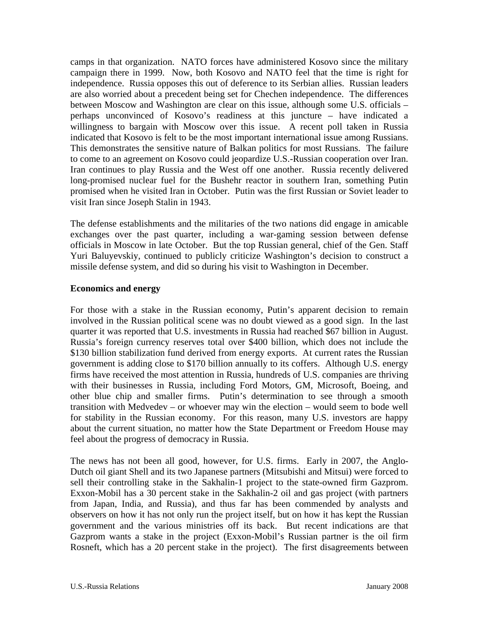camps in that organization. NATO forces have administered Kosovo since the military campaign there in 1999. Now, both Kosovo and NATO feel that the time is right for independence. Russia opposes this out of deference to its Serbian allies. Russian leaders are also worried about a precedent being set for Chechen independence. The differences between Moscow and Washington are clear on this issue, although some U.S. officials – perhaps unconvinced of Kosovo's readiness at this juncture – have indicated a willingness to bargain with Moscow over this issue. A recent poll taken in Russia indicated that Kosovo is felt to be the most important international issue among Russians. This demonstrates the sensitive nature of Balkan politics for most Russians. The failure to come to an agreement on Kosovo could jeopardize U.S.-Russian cooperation over Iran. Iran continues to play Russia and the West off one another. Russia recently delivered long-promised nuclear fuel for the Bushehr reactor in southern Iran, something Putin promised when he visited Iran in October. Putin was the first Russian or Soviet leader to visit Iran since Joseph Stalin in 1943.

The defense establishments and the militaries of the two nations did engage in amicable exchanges over the past quarter, including a war-gaming session between defense officials in Moscow in late October. But the top Russian general, chief of the Gen. Staff Yuri Baluyevskiy, continued to publicly criticize Washington's decision to construct a missile defense system, and did so during his visit to Washington in December.

#### **Economics and energy**

For those with a stake in the Russian economy, Putin's apparent decision to remain involved in the Russian political scene was no doubt viewed as a good sign. In the last quarter it was reported that U.S. investments in Russia had reached \$67 billion in August. Russia's foreign currency reserves total over \$400 billion, which does not include the \$130 billion stabilization fund derived from energy exports. At current rates the Russian government is adding close to \$170 billion annually to its coffers. Although U.S. energy firms have received the most attention in Russia, hundreds of U.S. companies are thriving with their businesses in Russia, including Ford Motors, GM, Microsoft, Boeing, and other blue chip and smaller firms. Putin's determination to see through a smooth transition with Medvedev – or whoever may win the election – would seem to bode well for stability in the Russian economy. For this reason, many U.S. investors are happy about the current situation, no matter how the State Department or Freedom House may feel about the progress of democracy in Russia.

The news has not been all good, however, for U.S. firms. Early in 2007, the Anglo-Dutch oil giant Shell and its two Japanese partners (Mitsubishi and Mitsui) were forced to sell their controlling stake in the Sakhalin-1 project to the state-owned firm Gazprom. Exxon-Mobil has a 30 percent stake in the Sakhalin-2 oil and gas project (with partners from Japan, India, and Russia), and thus far has been commended by analysts and observers on how it has not only run the project itself, but on how it has kept the Russian government and the various ministries off its back. But recent indications are that Gazprom wants a stake in the project (Exxon-Mobil's Russian partner is the oil firm Rosneft, which has a 20 percent stake in the project). The first disagreements between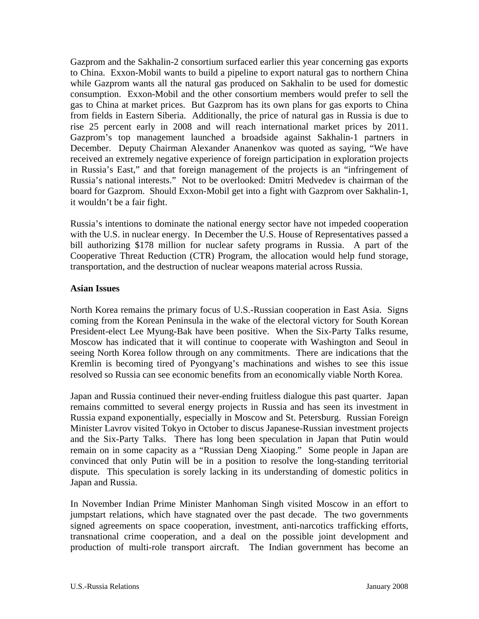Gazprom and the Sakhalin-2 consortium surfaced earlier this year concerning gas exports to China. Exxon-Mobil wants to build a pipeline to export natural gas to northern China while Gazprom wants all the natural gas produced on Sakhalin to be used for domestic consumption. Exxon-Mobil and the other consortium members would prefer to sell the gas to China at market prices. But Gazprom has its own plans for gas exports to China from fields in Eastern Siberia. Additionally, the price of natural gas in Russia is due to rise 25 percent early in 2008 and will reach international market prices by 2011. Gazprom's top management launched a broadside against Sakhalin-1 partners in December. Deputy Chairman Alexander Ananenkov was quoted as saying, "We have received an extremely negative experience of foreign participation in exploration projects in Russia's East," and that foreign management of the projects is an "infringement of Russia's national interests." Not to be overlooked: Dmitri Medvedev is chairman of the board for Gazprom. Should Exxon-Mobil get into a fight with Gazprom over Sakhalin-1, it wouldn't be a fair fight.

Russia's intentions to dominate the national energy sector have not impeded cooperation with the U.S. in nuclear energy. In December the U.S. House of Representatives passed a bill authorizing \$178 million for nuclear safety programs in Russia. A part of the Cooperative Threat Reduction (CTR) Program, the allocation would help fund storage, transportation, and the destruction of nuclear weapons material across Russia.

#### **Asian Issues**

North Korea remains the primary focus of U.S.-Russian cooperation in East Asia. Signs coming from the Korean Peninsula in the wake of the electoral victory for South Korean President-elect Lee Myung-Bak have been positive. When the Six-Party Talks resume, Moscow has indicated that it will continue to cooperate with Washington and Seoul in seeing North Korea follow through on any commitments. There are indications that the Kremlin is becoming tired of Pyongyang's machinations and wishes to see this issue resolved so Russia can see economic benefits from an economically viable North Korea.

Japan and Russia continued their never-ending fruitless dialogue this past quarter. Japan remains committed to several energy projects in Russia and has seen its investment in Russia expand exponentially, especially in Moscow and St. Petersburg. Russian Foreign Minister Lavrov visited Tokyo in October to discus Japanese-Russian investment projects and the Six-Party Talks. There has long been speculation in Japan that Putin would remain on in some capacity as a "Russian Deng Xiaoping." Some people in Japan are convinced that only Putin will be in a position to resolve the long-standing territorial dispute. This speculation is sorely lacking in its understanding of domestic politics in Japan and Russia.

In November Indian Prime Minister Manhoman Singh visited Moscow in an effort to jumpstart relations, which have stagnated over the past decade. The two governments signed agreements on space cooperation, investment, anti-narcotics trafficking efforts, transnational crime cooperation, and a deal on the possible joint development and production of multi-role transport aircraft. The Indian government has become an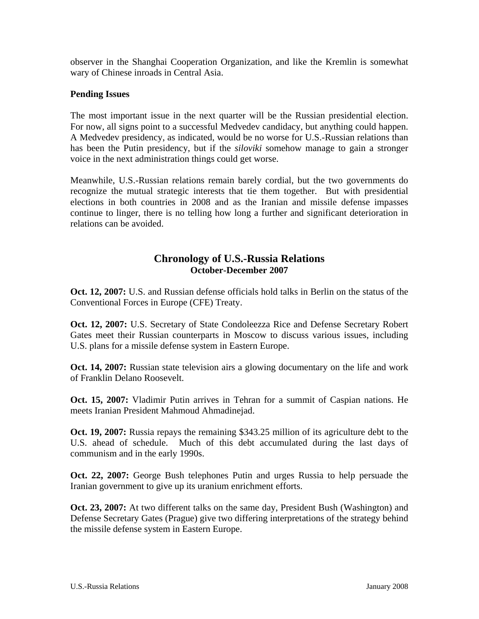observer in the Shanghai Cooperation Organization, and like the Kremlin is somewhat wary of Chinese inroads in Central Asia.

#### **Pending Issues**

The most important issue in the next quarter will be the Russian presidential election. For now, all signs point to a successful Medvedev candidacy, but anything could happen. A Medvedev presidency, as indicated, would be no worse for U.S.-Russian relations than has been the Putin presidency, but if the *siloviki* somehow manage to gain a stronger voice in the next administration things could get worse.

Meanwhile, U.S.-Russian relations remain barely cordial, but the two governments do recognize the mutual strategic interests that tie them together. But with presidential elections in both countries in 2008 and as the Iranian and missile defense impasses continue to linger, there is no telling how long a further and significant deterioration in relations can be avoided.

# **Chronology of U.S.-Russia Relations October-December 2007**

**Oct. 12, 2007:** U.S. and Russian defense officials hold talks in Berlin on the status of the Conventional Forces in Europe (CFE) Treaty.

**Oct. 12, 2007:** U.S. Secretary of State Condoleezza Rice and Defense Secretary Robert Gates meet their Russian counterparts in Moscow to discuss various issues, including U.S. plans for a missile defense system in Eastern Europe.

**Oct. 14, 2007:** Russian state television airs a glowing documentary on the life and work of Franklin Delano Roosevelt.

**Oct. 15, 2007:** Vladimir Putin arrives in Tehran for a summit of Caspian nations. He meets Iranian President Mahmoud Ahmadinejad.

**Oct. 19, 2007:** Russia repays the remaining \$343.25 million of its agriculture debt to the U.S. ahead of schedule. Much of this debt accumulated during the last days of communism and in the early 1990s.

**Oct. 22, 2007:** George Bush telephones Putin and urges Russia to help persuade the Iranian government to give up its uranium enrichment efforts.

**Oct. 23, 2007:** At two different talks on the same day, President Bush (Washington) and Defense Secretary Gates (Prague) give two differing interpretations of the strategy behind the missile defense system in Eastern Europe.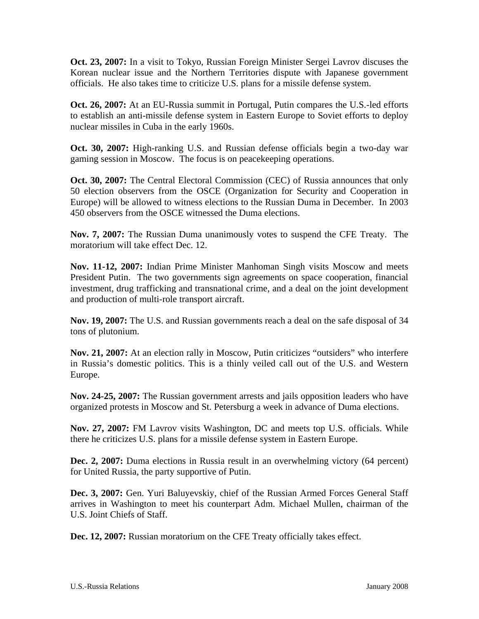**Oct. 23, 2007:** In a visit to Tokyo, Russian Foreign Minister Sergei Lavrov discuses the Korean nuclear issue and the Northern Territories dispute with Japanese government officials. He also takes time to criticize U.S. plans for a missile defense system.

**Oct. 26, 2007:** At an EU-Russia summit in Portugal, Putin compares the U.S.-led efforts to establish an anti-missile defense system in Eastern Europe to Soviet efforts to deploy nuclear missiles in Cuba in the early 1960s.

**Oct. 30, 2007:** High-ranking U.S. and Russian defense officials begin a two-day war gaming session in Moscow. The focus is on peacekeeping operations.

**Oct. 30, 2007:** The Central Electoral Commission (CEC) of Russia announces that only 50 election observers from the OSCE (Organization for Security and Cooperation in Europe) will be allowed to witness elections to the Russian Duma in December. In 2003 450 observers from the OSCE witnessed the Duma elections.

**Nov. 7, 2007:** The Russian Duma unanimously votes to suspend the CFE Treaty. The moratorium will take effect Dec. 12.

**Nov. 11-12, 2007:** Indian Prime Minister Manhoman Singh visits Moscow and meets President Putin. The two governments sign agreements on space cooperation, financial investment, drug trafficking and transnational crime, and a deal on the joint development and production of multi-role transport aircraft.

**Nov. 19, 2007:** The U.S. and Russian governments reach a deal on the safe disposal of 34 tons of plutonium.

**Nov. 21, 2007:** At an election rally in Moscow, Putin criticizes "outsiders" who interfere in Russia's domestic politics. This is a thinly veiled call out of the U.S. and Western Europe.

**Nov. 24-25, 2007:** The Russian government arrests and jails opposition leaders who have organized protests in Moscow and St. Petersburg a week in advance of Duma elections.

**Nov. 27, 2007:** FM Lavrov visits Washington, DC and meets top U.S. officials. While there he criticizes U.S. plans for a missile defense system in Eastern Europe.

**Dec. 2, 2007:** Duma elections in Russia result in an overwhelming victory (64 percent) for United Russia, the party supportive of Putin.

**Dec. 3, 2007:** Gen. Yuri Baluyevskiy, chief of the Russian Armed Forces General Staff arrives in Washington to meet his counterpart Adm. Michael Mullen, chairman of the U.S. Joint Chiefs of Staff.

**Dec. 12, 2007:** Russian moratorium on the CFE Treaty officially takes effect.